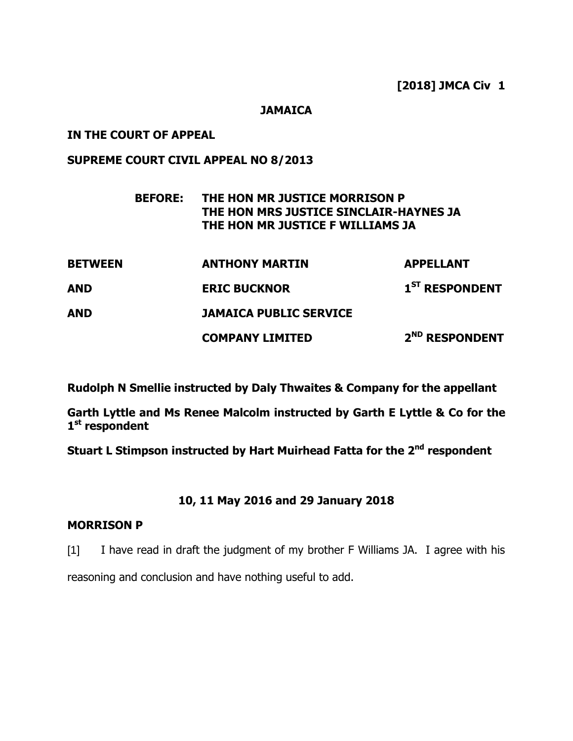#### **JAMAICA**

## **IN THE COURT OF APPEAL**

## **SUPREME COURT CIVIL APPEAL NO 8/2013**

| <b>BEFORE:</b> | THE HON MR JUSTICE MORRISON P          |  |
|----------------|----------------------------------------|--|
|                | THE HON MRS JUSTICE SINCLAIR-HAYNES JA |  |
|                | THE HON MR JUSTICE F WILLIAMS JA       |  |

| <b>BETWEEN</b> | <b>ANTHONY MARTIN</b>         | <b>APPELLANT</b>           |
|----------------|-------------------------------|----------------------------|
| <b>AND</b>     | <b>ERIC BUCKNOR</b>           | 1 <sup>ST</sup> RESPONDENT |
| AND            | <b>JAMAICA PUBLIC SERVICE</b> |                            |
|                | <b>COMPANY LIMITED</b>        | 2 <sup>ND</sup> RESPONDENT |

**Rudolph N Smellie instructed by Daly Thwaites & Company for the appellant**

**Garth Lyttle and Ms Renee Malcolm instructed by Garth E Lyttle & Co for the 1 st respondent**

**Stuart L Stimpson instructed by Hart Muirhead Fatta for the 2nd respondent**

# **10, 11 May 2016 and 29 January 2018**

## **MORRISON P**

[1] I have read in draft the judgment of my brother F Williams JA. I agree with his reasoning and conclusion and have nothing useful to add.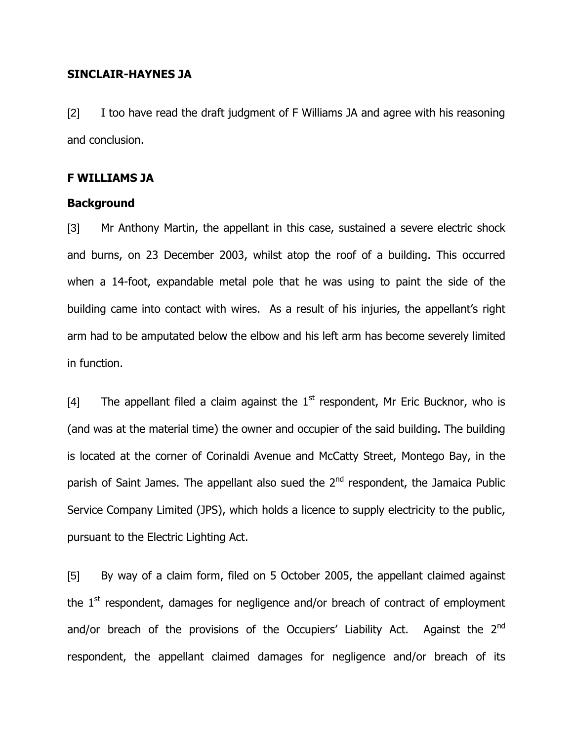## **SINCLAIR-HAYNES JA**

[2] I too have read the draft judgment of F Williams JA and agree with his reasoning and conclusion.

## **F WILLIAMS JA**

#### **Background**

[3] Mr Anthony Martin, the appellant in this case, sustained a severe electric shock and burns, on 23 December 2003, whilst atop the roof of a building. This occurred when a 14-foot, expandable metal pole that he was using to paint the side of the building came into contact with wires. As a result of his injuries, the appellant's right arm had to be amputated below the elbow and his left arm has become severely limited in function.

[4] The appellant filed a claim against the  $1<sup>st</sup>$  respondent, Mr Eric Bucknor, who is (and was at the material time) the owner and occupier of the said building. The building is located at the corner of Corinaldi Avenue and McCatty Street, Montego Bay, in the parish of Saint James. The appellant also sued the 2<sup>nd</sup> respondent, the Jamaica Public Service Company Limited (JPS), which holds a licence to supply electricity to the public, pursuant to the Electric Lighting Act.

[5] By way of a claim form, filed on 5 October 2005, the appellant claimed against the  $1<sup>st</sup>$  respondent, damages for negligence and/or breach of contract of employment and/or breach of the provisions of the Occupiers' Liability Act. Against the  $2<sup>nd</sup>$ respondent, the appellant claimed damages for negligence and/or breach of its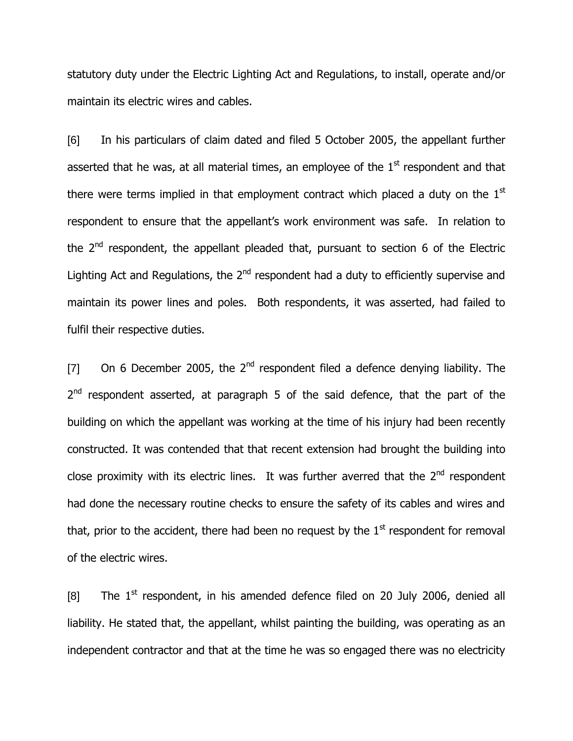statutory duty under the Electric Lighting Act and Regulations, to install, operate and/or maintain its electric wires and cables.

[6] In his particulars of claim dated and filed 5 October 2005, the appellant further asserted that he was, at all material times, an employee of the  $1<sup>st</sup>$  respondent and that there were terms implied in that employment contract which placed a duty on the  $1<sup>st</sup>$ respondent to ensure that the appellant"s work environment was safe. In relation to the  $2<sup>nd</sup>$  respondent, the appellant pleaded that, pursuant to section 6 of the Electric Lighting Act and Regulations, the  $2<sup>nd</sup>$  respondent had a duty to efficiently supervise and maintain its power lines and poles. Both respondents, it was asserted, had failed to fulfil their respective duties.

[7] On 6 December 2005, the  $2^{nd}$  respondent filed a defence denying liability. The 2<sup>nd</sup> respondent asserted, at paragraph 5 of the said defence, that the part of the building on which the appellant was working at the time of his injury had been recently constructed. It was contended that that recent extension had brought the building into close proximity with its electric lines. It was further averred that the  $2<sup>nd</sup>$  respondent had done the necessary routine checks to ensure the safety of its cables and wires and that, prior to the accident, there had been no request by the  $1<sup>st</sup>$  respondent for removal of the electric wires.

[8] The  $1^{st}$  respondent, in his amended defence filed on 20 July 2006, denied all liability. He stated that, the appellant, whilst painting the building, was operating as an independent contractor and that at the time he was so engaged there was no electricity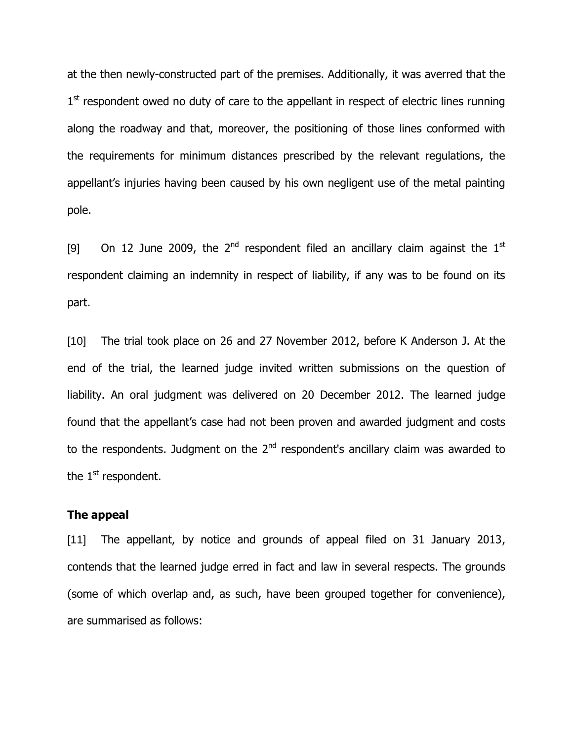at the then newly-constructed part of the premises. Additionally, it was averred that the 1<sup>st</sup> respondent owed no duty of care to the appellant in respect of electric lines running along the roadway and that, moreover, the positioning of those lines conformed with the requirements for minimum distances prescribed by the relevant regulations, the appellant's injuries having been caused by his own negligent use of the metal painting pole.

[9] On 12 June 2009, the  $2^{nd}$  respondent filed an ancillary claim against the  $1^{st}$ respondent claiming an indemnity in respect of liability, if any was to be found on its part.

[10] The trial took place on 26 and 27 November 2012, before K Anderson J. At the end of the trial, the learned judge invited written submissions on the question of liability. An oral judgment was delivered on 20 December 2012. The learned judge found that the appellant's case had not been proven and awarded judgment and costs to the respondents. Judgment on the  $2<sup>nd</sup>$  respondent's ancillary claim was awarded to the  $1<sup>st</sup>$  respondent.

#### **The appeal**

[11] The appellant, by notice and grounds of appeal filed on 31 January 2013, contends that the learned judge erred in fact and law in several respects. The grounds (some of which overlap and, as such, have been grouped together for convenience), are summarised as follows: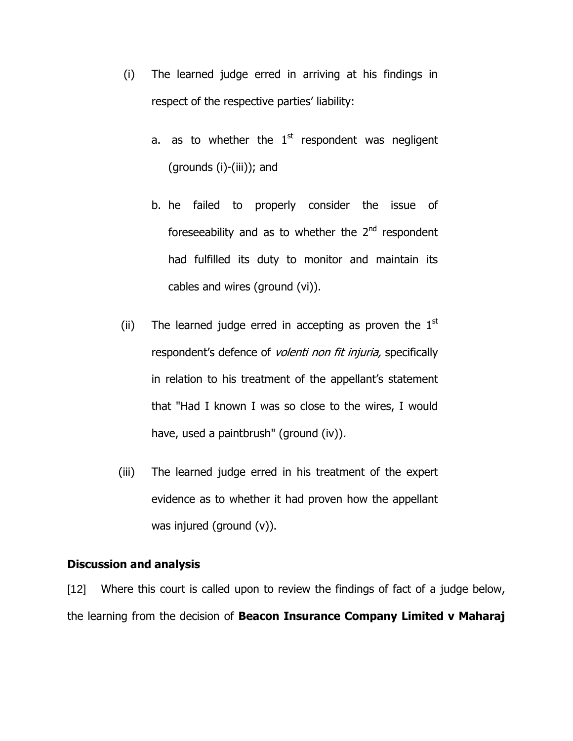- (i) The learned judge erred in arriving at his findings in respect of the respective parties' liability:
	- a. as to whether the  $1<sup>st</sup>$  respondent was negligent (grounds (i)-(iii)); and
	- b. he failed to properly consider the issue of foreseeability and as to whether the 2<sup>nd</sup> respondent had fulfilled its duty to monitor and maintain its cables and wires (ground (vi)).
- (ii) The learned judge erred in accepting as proven the  $1<sup>st</sup>$ respondent's defence of *volenti non fit injuria*, specifically in relation to his treatment of the appellant's statement that "Had I known I was so close to the wires, I would have, used a paintbrush" (ground (iv)).
- (iii) The learned judge erred in his treatment of the expert evidence as to whether it had proven how the appellant was injured (ground (v)).

## **Discussion and analysis**

[12] Where this court is called upon to review the findings of fact of a judge below, the learning from the decision of **Beacon Insurance Company Limited v Maharaj**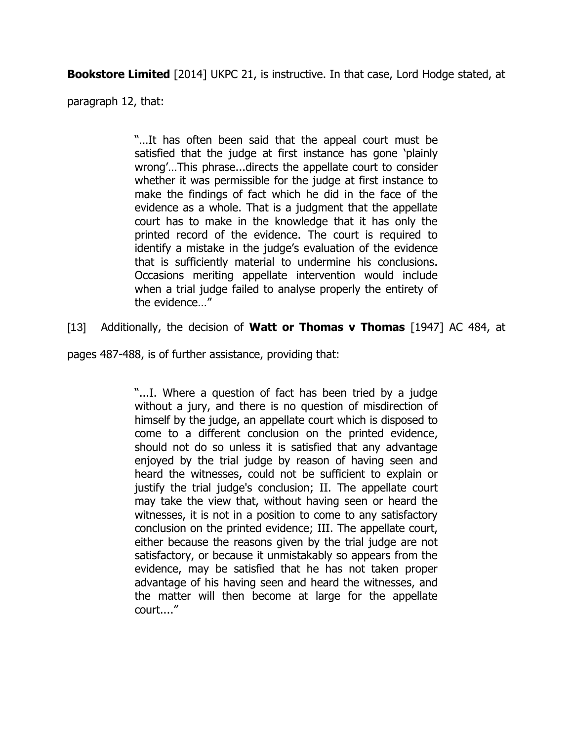**Bookstore Limited** [2014] UKPC 21, is instructive. In that case, Lord Hodge stated, at

paragraph 12, that:

"…It has often been said that the appeal court must be satisfied that the judge at first instance has gone "plainly wrong'...This phrase...directs the appellate court to consider whether it was permissible for the judge at first instance to make the findings of fact which he did in the face of the evidence as a whole. That is a judgment that the appellate court has to make in the knowledge that it has only the printed record of the evidence. The court is required to identify a mistake in the judge"s evaluation of the evidence that is sufficiently material to undermine his conclusions. Occasions meriting appellate intervention would include when a trial judge failed to analyse properly the entirety of the evidence…"

[13] Additionally, the decision of **Watt or Thomas v Thomas** [1947] AC 484, at

pages 487-488, is of further assistance, providing that:

"...I. Where a question of fact has been tried by a judge without a jury, and there is no question of misdirection of himself by the judge, an appellate court which is disposed to come to a different conclusion on the printed evidence, should not do so unless it is satisfied that any advantage enjoyed by the trial judge by reason of having seen and heard the witnesses, could not be sufficient to explain or justify the trial judge's conclusion; II. The appellate court may take the view that, without having seen or heard the witnesses, it is not in a position to come to any satisfactory conclusion on the printed evidence; III. The appellate court, either because the reasons given by the trial judge are not satisfactory, or because it unmistakably so appears from the evidence, may be satisfied that he has not taken proper advantage of his having seen and heard the witnesses, and the matter will then become at large for the appellate court...."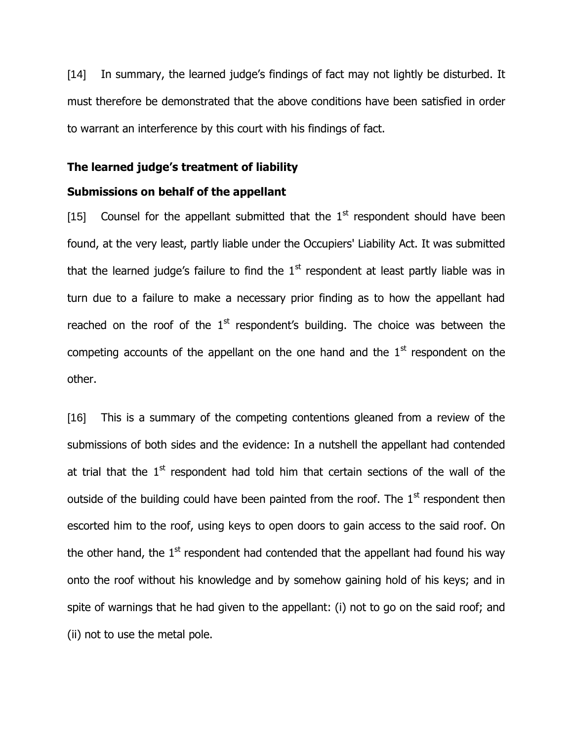[14] In summary, the learned judge's findings of fact may not lightly be disturbed. It must therefore be demonstrated that the above conditions have been satisfied in order to warrant an interference by this court with his findings of fact.

#### **The learned judge's treatment of liability**

#### **Submissions on behalf of the appellant**

[15] Counsel for the appellant submitted that the  $1<sup>st</sup>$  respondent should have been found, at the very least, partly liable under the Occupiers' Liability Act. It was submitted that the learned judge's failure to find the  $1<sup>st</sup>$  respondent at least partly liable was in turn due to a failure to make a necessary prior finding as to how the appellant had reached on the roof of the  $1<sup>st</sup>$  respondent's building. The choice was between the competing accounts of the appellant on the one hand and the  $1<sup>st</sup>$  respondent on the other.

[16] This is a summary of the competing contentions gleaned from a review of the submissions of both sides and the evidence: In a nutshell the appellant had contended at trial that the  $1<sup>st</sup>$  respondent had told him that certain sections of the wall of the outside of the building could have been painted from the roof. The  $1<sup>st</sup>$  respondent then escorted him to the roof, using keys to open doors to gain access to the said roof. On the other hand, the  $1<sup>st</sup>$  respondent had contended that the appellant had found his way onto the roof without his knowledge and by somehow gaining hold of his keys; and in spite of warnings that he had given to the appellant: (i) not to go on the said roof; and (ii) not to use the metal pole.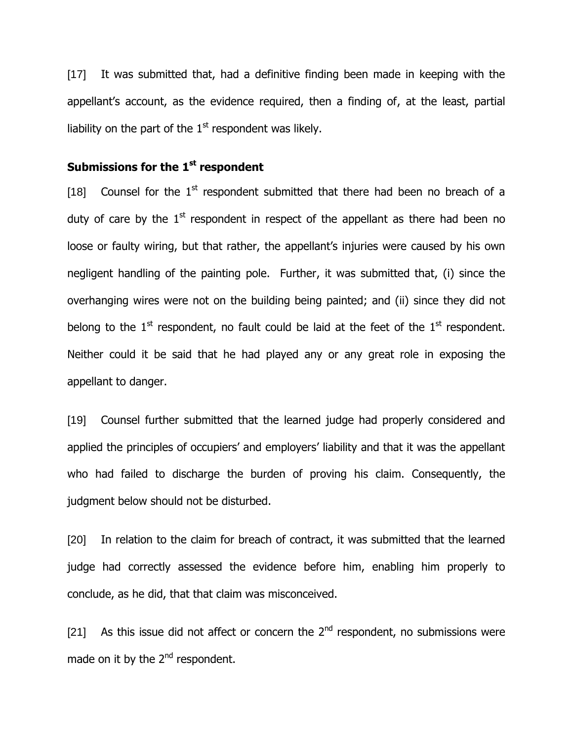[17] It was submitted that, had a definitive finding been made in keeping with the appellant's account, as the evidence required, then a finding of, at the least, partial liability on the part of the  $1<sup>st</sup>$  respondent was likely.

# **Submissions for the 1st respondent**

[18] Counsel for the  $1<sup>st</sup>$  respondent submitted that there had been no breach of a duty of care by the  $1<sup>st</sup>$  respondent in respect of the appellant as there had been no loose or faulty wiring, but that rather, the appellant's injuries were caused by his own negligent handling of the painting pole. Further, it was submitted that, (i) since the overhanging wires were not on the building being painted; and (ii) since they did not belong to the  $1<sup>st</sup>$  respondent, no fault could be laid at the feet of the  $1<sup>st</sup>$  respondent. Neither could it be said that he had played any or any great role in exposing the appellant to danger.

[19] Counsel further submitted that the learned judge had properly considered and applied the principles of occupiers' and employers' liability and that it was the appellant who had failed to discharge the burden of proving his claim. Consequently, the judgment below should not be disturbed.

[20] In relation to the claim for breach of contract, it was submitted that the learned judge had correctly assessed the evidence before him, enabling him properly to conclude, as he did, that that claim was misconceived.

[21] As this issue did not affect or concern the  $2^{nd}$  respondent, no submissions were made on it by the  $2^{nd}$  respondent.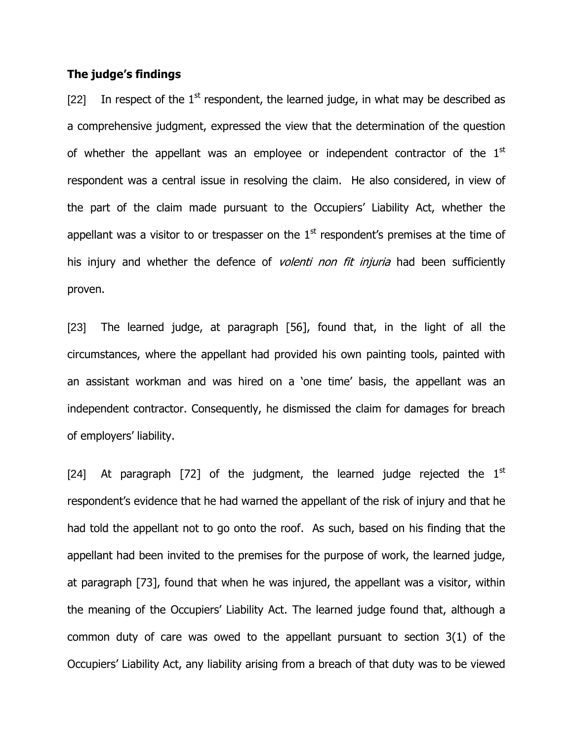## **The judge's findings**

[22] In respect of the  $1<sup>st</sup>$  respondent, the learned judge, in what may be described as a comprehensive judgment, expressed the view that the determination of the question of whether the appellant was an employee or independent contractor of the  $1<sup>st</sup>$ respondent was a central issue in resolving the claim. He also considered, in view of the part of the claim made pursuant to the Occupiers" Liability Act, whether the appellant was a visitor to or trespasser on the  $1<sup>st</sup>$  respondent's premises at the time of his injury and whether the defence of *volenti non fit injuria* had been sufficiently proven.

[23] The learned judge, at paragraph [56], found that, in the light of all the circumstances, where the appellant had provided his own painting tools, painted with an assistant workman and was hired on a "one time" basis, the appellant was an independent contractor. Consequently, he dismissed the claim for damages for breach of employers' liability.

[24] At paragraph [72] of the judgment, the learned judge rejected the  $1<sup>st</sup>$ respondent's evidence that he had warned the appellant of the risk of injury and that he had told the appellant not to go onto the roof. As such, based on his finding that the appellant had been invited to the premises for the purpose of work, the learned judge, at paragraph [73], found that when he was injured, the appellant was a visitor, within the meaning of the Occupiers" Liability Act. The learned judge found that, although a common duty of care was owed to the appellant pursuant to section 3(1) of the Occupiers" Liability Act, any liability arising from a breach of that duty was to be viewed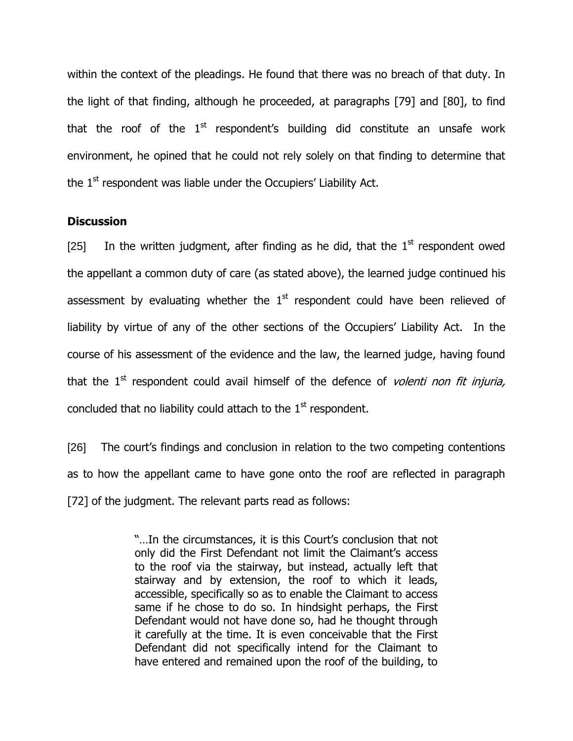within the context of the pleadings. He found that there was no breach of that duty. In the light of that finding, although he proceeded, at paragraphs [79] and [80], to find that the roof of the  $1<sup>st</sup>$  respondent's building did constitute an unsafe work environment, he opined that he could not rely solely on that finding to determine that the  $1<sup>st</sup>$  respondent was liable under the Occupiers' Liability Act.

## **Discussion**

[25] In the written judgment, after finding as he did, that the  $1<sup>st</sup>$  respondent owed the appellant a common duty of care (as stated above), the learned judge continued his assessment by evaluating whether the  $1<sup>st</sup>$  respondent could have been relieved of liability by virtue of any of the other sections of the Occupiers' Liability Act. In the course of his assessment of the evidence and the law, the learned judge, having found that the 1<sup>st</sup> respondent could avail himself of the defence of *volenti non fit injuria*, concluded that no liability could attach to the  $1<sup>st</sup>$  respondent.

[26] The court's findings and conclusion in relation to the two competing contentions as to how the appellant came to have gone onto the roof are reflected in paragraph [72] of the judgment. The relevant parts read as follows:

> "...In the circumstances, it is this Court's conclusion that not only did the First Defendant not limit the Claimant's access to the roof via the stairway, but instead, actually left that stairway and by extension, the roof to which it leads, accessible, specifically so as to enable the Claimant to access same if he chose to do so. In hindsight perhaps, the First Defendant would not have done so, had he thought through it carefully at the time. It is even conceivable that the First Defendant did not specifically intend for the Claimant to have entered and remained upon the roof of the building, to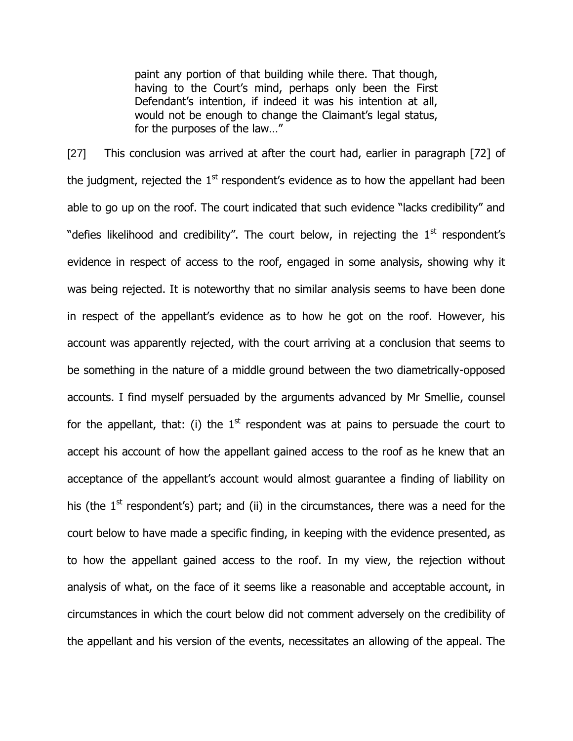paint any portion of that building while there. That though, having to the Court's mind, perhaps only been the First Defendant's intention, if indeed it was his intention at all, would not be enough to change the Claimant's legal status, for the purposes of the law…"

[27] This conclusion was arrived at after the court had, earlier in paragraph [72] of the judgment, rejected the  $1^\text{st}$  respondent's evidence as to how the appellant had been able to go up on the roof. The court indicated that such evidence "lacks credibility" and "defies likelihood and credibility". The court below, in rejecting the  $1<sup>st</sup>$  respondent's evidence in respect of access to the roof, engaged in some analysis, showing why it was being rejected. It is noteworthy that no similar analysis seems to have been done in respect of the appellant's evidence as to how he got on the roof. However, his account was apparently rejected, with the court arriving at a conclusion that seems to be something in the nature of a middle ground between the two diametrically-opposed accounts. I find myself persuaded by the arguments advanced by Mr Smellie, counsel for the appellant, that: (i) the  $1<sup>st</sup>$  respondent was at pains to persuade the court to accept his account of how the appellant gained access to the roof as he knew that an acceptance of the appellant's account would almost quarantee a finding of liability on his (the  $1<sup>st</sup>$  respondent's) part; and (ii) in the circumstances, there was a need for the court below to have made a specific finding, in keeping with the evidence presented, as to how the appellant gained access to the roof. In my view, the rejection without analysis of what, on the face of it seems like a reasonable and acceptable account, in circumstances in which the court below did not comment adversely on the credibility of the appellant and his version of the events, necessitates an allowing of the appeal. The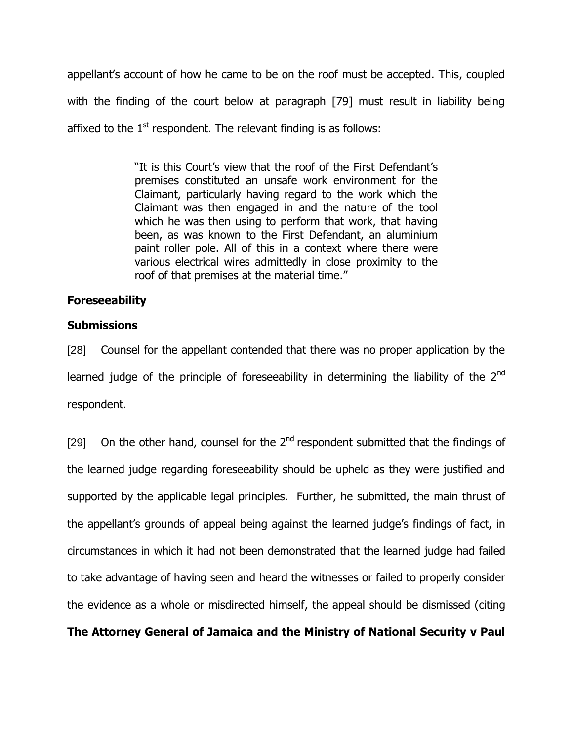appellant's account of how he came to be on the roof must be accepted. This, coupled with the finding of the court below at paragraph [79] must result in liability being affixed to the  $1<sup>st</sup>$  respondent. The relevant finding is as follows:

> "It is this Court's view that the roof of the First Defendant's premises constituted an unsafe work environment for the Claimant, particularly having regard to the work which the Claimant was then engaged in and the nature of the tool which he was then using to perform that work, that having been, as was known to the First Defendant, an aluminium paint roller pole. All of this in a context where there were various electrical wires admittedly in close proximity to the roof of that premises at the material time."

# **Foreseeability**

## **Submissions**

[28] Counsel for the appellant contended that there was no proper application by the learned judge of the principle of foreseeability in determining the liability of the  $2<sup>nd</sup>$ respondent.

[29] On the other hand, counsel for the  $2<sup>nd</sup>$  respondent submitted that the findings of the learned judge regarding foreseeability should be upheld as they were justified and supported by the applicable legal principles. Further, he submitted, the main thrust of the appellant's grounds of appeal being against the learned judge's findings of fact, in circumstances in which it had not been demonstrated that the learned judge had failed to take advantage of having seen and heard the witnesses or failed to properly consider the evidence as a whole or misdirected himself, the appeal should be dismissed (citing

**The Attorney General of Jamaica and the Ministry of National Security v Paul**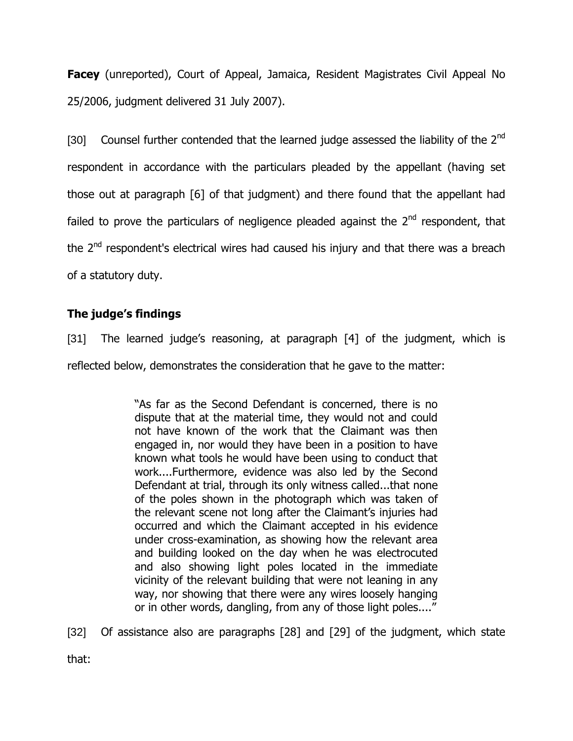**Facey** (unreported), Court of Appeal, Jamaica, Resident Magistrates Civil Appeal No 25/2006, judgment delivered 31 July 2007).

[30] Counsel further contended that the learned judge assessed the liability of the 2<sup>nd</sup> respondent in accordance with the particulars pleaded by the appellant (having set those out at paragraph [6] of that judgment) and there found that the appellant had failed to prove the particulars of negligence pleaded against the  $2<sup>nd</sup>$  respondent, that the 2<sup>nd</sup> respondent's electrical wires had caused his injury and that there was a breach of a statutory duty.

# **The judge's findings**

[31] The learned judge's reasoning, at paragraph [4] of the judgment, which is

reflected below, demonstrates the consideration that he gave to the matter:

"As far as the Second Defendant is concerned, there is no dispute that at the material time, they would not and could not have known of the work that the Claimant was then engaged in, nor would they have been in a position to have known what tools he would have been using to conduct that work....Furthermore, evidence was also led by the Second Defendant at trial, through its only witness called...that none of the poles shown in the photograph which was taken of the relevant scene not long after the Claimant's injuries had occurred and which the Claimant accepted in his evidence under cross-examination, as showing how the relevant area and building looked on the day when he was electrocuted and also showing light poles located in the immediate vicinity of the relevant building that were not leaning in any way, nor showing that there were any wires loosely hanging or in other words, dangling, from any of those light poles...."

[32] Of assistance also are paragraphs [28] and [29] of the judgment, which state

that: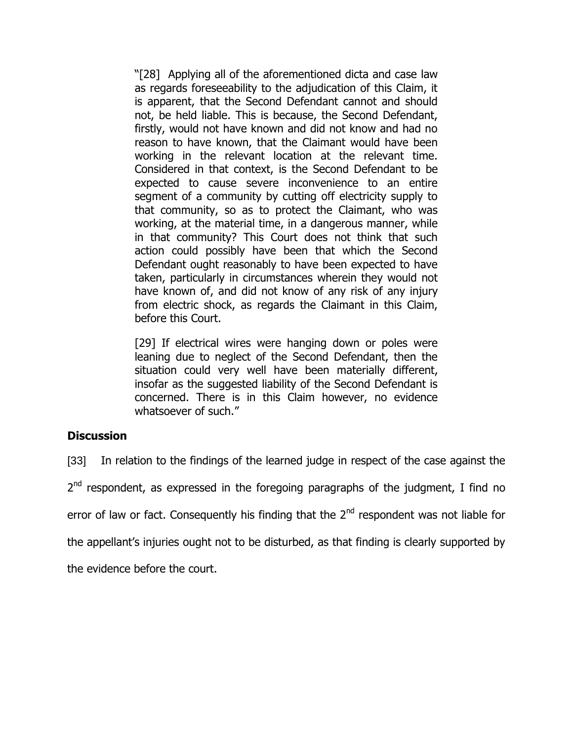"[28] Applying all of the aforementioned dicta and case law as regards foreseeability to the adjudication of this Claim, it is apparent, that the Second Defendant cannot and should not, be held liable. This is because, the Second Defendant, firstly, would not have known and did not know and had no reason to have known, that the Claimant would have been working in the relevant location at the relevant time. Considered in that context, is the Second Defendant to be expected to cause severe inconvenience to an entire segment of a community by cutting off electricity supply to that community, so as to protect the Claimant, who was working, at the material time, in a dangerous manner, while in that community? This Court does not think that such action could possibly have been that which the Second Defendant ought reasonably to have been expected to have taken, particularly in circumstances wherein they would not have known of, and did not know of any risk of any injury from electric shock, as regards the Claimant in this Claim, before this Court.

[29] If electrical wires were hanging down or poles were leaning due to neglect of the Second Defendant, then the situation could very well have been materially different, insofar as the suggested liability of the Second Defendant is concerned. There is in this Claim however, no evidence whatsoever of such."

# **Discussion**

[33] In relation to the findings of the learned judge in respect of the case against the

2<sup>nd</sup> respondent, as expressed in the foregoing paragraphs of the judgment, I find no

error of law or fact. Consequently his finding that the  $2<sup>nd</sup>$  respondent was not liable for

the appellant's injuries ought not to be disturbed, as that finding is clearly supported by

the evidence before the court.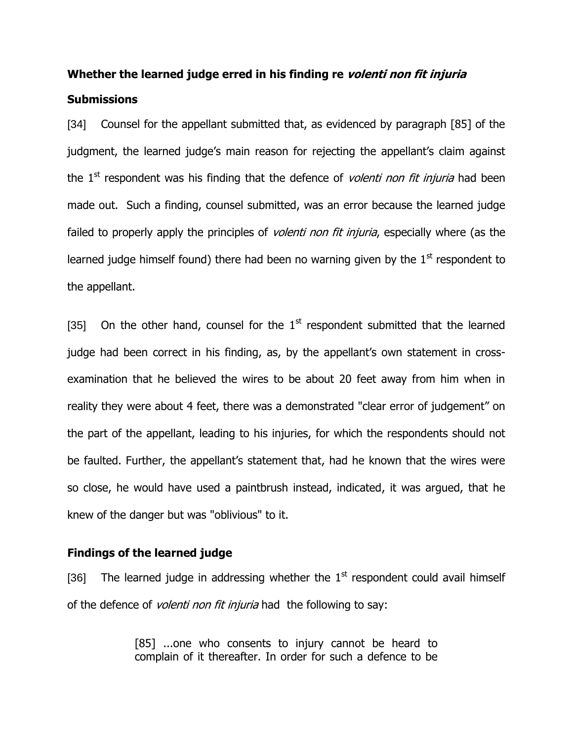# **Whether the learned judge erred in his finding re volenti non fit injuria Submissions**

[34] Counsel for the appellant submitted that, as evidenced by paragraph [85] of the judgment, the learned judge's main reason for rejecting the appellant's claim against the  $1<sup>st</sup>$  respondent was his finding that the defence of *volenti non fit injuria* had been made out. Such a finding, counsel submitted, was an error because the learned judge failed to properly apply the principles of *volenti non fit injuria*, especially where (as the learned judge himself found) there had been no warning given by the  $1<sup>st</sup>$  respondent to the appellant.

[35] On the other hand, counsel for the  $1<sup>st</sup>$  respondent submitted that the learned judge had been correct in his finding, as, by the appellant's own statement in crossexamination that he believed the wires to be about 20 feet away from him when in reality they were about 4 feet, there was a demonstrated "clear error of judgement" on the part of the appellant, leading to his injuries, for which the respondents should not be faulted. Further, the appellant's statement that, had he known that the wires were so close, he would have used a paintbrush instead, indicated, it was argued, that he knew of the danger but was "oblivious" to it.

#### **Findings of the learned judge**

[36] The learned judge in addressing whether the  $1<sup>st</sup>$  respondent could avail himself of the defence of *volenti non fit injuria* had the following to say:

> [85] ...one who consents to injury cannot be heard to complain of it thereafter. In order for such a defence to be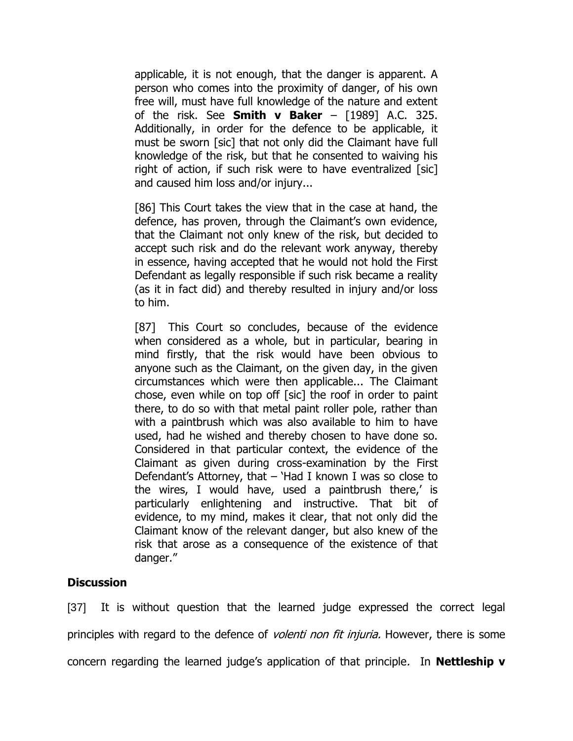applicable, it is not enough, that the danger is apparent. A person who comes into the proximity of danger, of his own free will, must have full knowledge of the nature and extent of the risk. See **Smith v Baker** – [1989] A.C. 325. Additionally, in order for the defence to be applicable, it must be sworn [sic] that not only did the Claimant have full knowledge of the risk, but that he consented to waiving his right of action, if such risk were to have eventralized [sic] and caused him loss and/or injury...

[86] This Court takes the view that in the case at hand, the defence, has proven, through the Claimant's own evidence, that the Claimant not only knew of the risk, but decided to accept such risk and do the relevant work anyway, thereby in essence, having accepted that he would not hold the First Defendant as legally responsible if such risk became a reality (as it in fact did) and thereby resulted in injury and/or loss to him.

[87] This Court so concludes, because of the evidence when considered as a whole, but in particular, bearing in mind firstly, that the risk would have been obvious to anyone such as the Claimant, on the given day, in the given circumstances which were then applicable... The Claimant chose, even while on top off [sic] the roof in order to paint there, to do so with that metal paint roller pole, rather than with a paintbrush which was also available to him to have used, had he wished and thereby chosen to have done so. Considered in that particular context, the evidence of the Claimant as given during cross-examination by the First Defendant's Attorney, that  $-$  'Had I known I was so close to the wires, I would have, used a paintbrush there,' is particularly enlightening and instructive. That bit of evidence, to my mind, makes it clear, that not only did the Claimant know of the relevant danger, but also knew of the risk that arose as a consequence of the existence of that danger."

## **Discussion**

[37] It is without question that the learned judge expressed the correct legal principles with regard to the defence of *volenti non fit injuria*. However, there is some concern regarding the learned judge"s application of that principle. In **Nettleship v**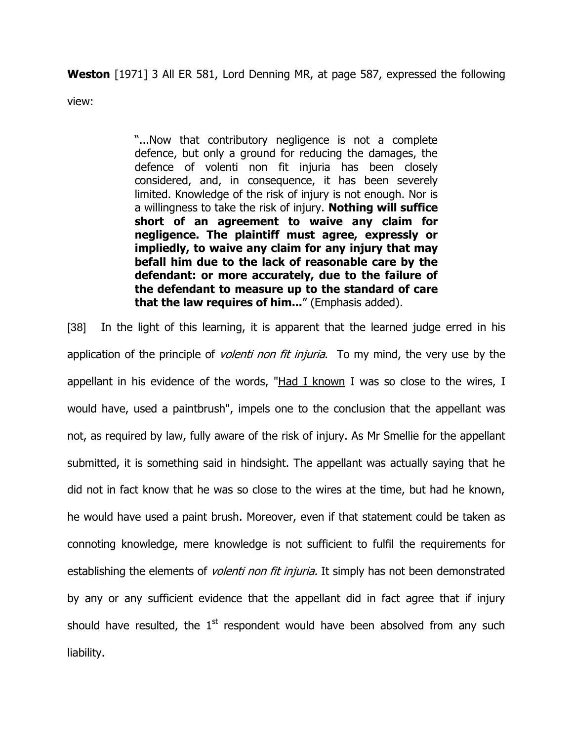**Weston** [1971] 3 All ER 581, Lord Denning MR, at page 587, expressed the following

view:

"...Now that contributory negligence is not a complete defence, but only a ground for reducing the damages, the defence of volenti non fit injuria has been closely considered, and, in consequence, it has been severely limited. Knowledge of the risk of injury is not enough. Nor is a willingness to take the risk of injury. **Nothing will suffice short of an agreement to waive any claim for negligence. The plaintiff must agree, expressly or impliedly, to waive any claim for any injury that may befall him due to the lack of reasonable care by the defendant: or more accurately, due to the failure of the defendant to measure up to the standard of care that the law requires of him...**" (Emphasis added).

[38] In the light of this learning, it is apparent that the learned judge erred in his application of the principle of *volenti non fit injuria*. To my mind, the very use by the appellant in his evidence of the words, "Had I known I was so close to the wires, I would have, used a paintbrush", impels one to the conclusion that the appellant was not, as required by law, fully aware of the risk of injury. As Mr Smellie for the appellant submitted, it is something said in hindsight. The appellant was actually saying that he did not in fact know that he was so close to the wires at the time, but had he known, he would have used a paint brush. Moreover, even if that statement could be taken as connoting knowledge, mere knowledge is not sufficient to fulfil the requirements for establishing the elements of *volenti non fit injuria*. It simply has not been demonstrated by any or any sufficient evidence that the appellant did in fact agree that if injury should have resulted, the  $1<sup>st</sup>$  respondent would have been absolved from any such liability.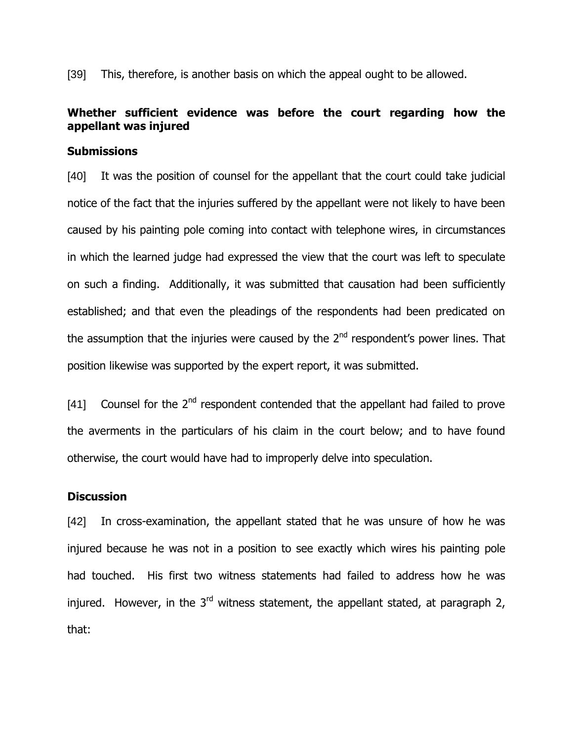[39] This, therefore, is another basis on which the appeal ought to be allowed.

# **Whether sufficient evidence was before the court regarding how the appellant was injured**

## **Submissions**

[40] It was the position of counsel for the appellant that the court could take judicial notice of the fact that the injuries suffered by the appellant were not likely to have been caused by his painting pole coming into contact with telephone wires, in circumstances in which the learned judge had expressed the view that the court was left to speculate on such a finding. Additionally, it was submitted that causation had been sufficiently established; and that even the pleadings of the respondents had been predicated on the assumption that the injuries were caused by the  $2^{nd}$  respondent's power lines. That position likewise was supported by the expert report, it was submitted.

[41] Counsel for the  $2^{nd}$  respondent contended that the appellant had failed to prove the averments in the particulars of his claim in the court below; and to have found otherwise, the court would have had to improperly delve into speculation.

## **Discussion**

[42] In cross-examination, the appellant stated that he was unsure of how he was injured because he was not in a position to see exactly which wires his painting pole had touched. His first two witness statements had failed to address how he was injured. However, in the 3<sup>rd</sup> witness statement, the appellant stated, at paragraph 2, that: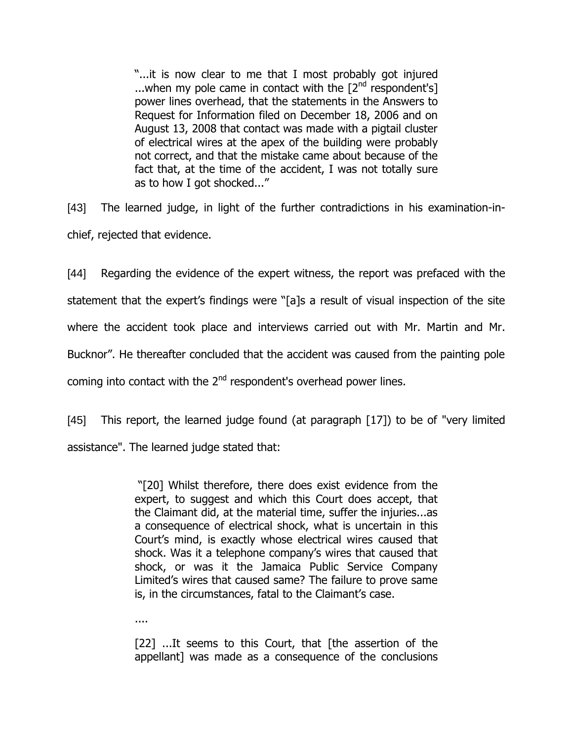"...it is now clear to me that I most probably got injured ...when my pole came in contact with the  $[2^{nd}$  respondent's] power lines overhead, that the statements in the Answers to Request for Information filed on December 18, 2006 and on August 13, 2008 that contact was made with a pigtail cluster of electrical wires at the apex of the building were probably not correct, and that the mistake came about because of the fact that, at the time of the accident, I was not totally sure as to how I got shocked..."

[43] The learned judge, in light of the further contradictions in his examination-inchief, rejected that evidence.

[44] Regarding the evidence of the expert witness, the report was prefaced with the statement that the expert's findings were "[a]s a result of visual inspection of the site where the accident took place and interviews carried out with Mr. Martin and Mr. Bucknor". He thereafter concluded that the accident was caused from the painting pole coming into contact with the  $2<sup>nd</sup>$  respondent's overhead power lines.

[45] This report, the learned judge found (at paragraph [17]) to be of "very limited assistance". The learned judge stated that:

> "[20] Whilst therefore, there does exist evidence from the expert, to suggest and which this Court does accept, that the Claimant did, at the material time, suffer the injuries...as a consequence of electrical shock, what is uncertain in this Court"s mind, is exactly whose electrical wires caused that shock. Was it a telephone company's wires that caused that shock, or was it the Jamaica Public Service Company Limited"s wires that caused same? The failure to prove same is, in the circumstances, fatal to the Claimant's case.

....

[22] ...It seems to this Court, that [the assertion of the appellant] was made as a consequence of the conclusions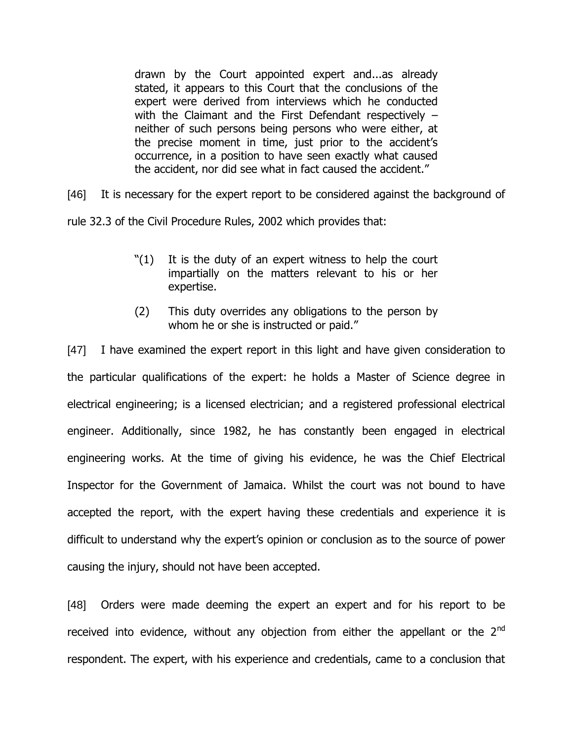drawn by the Court appointed expert and...as already stated, it appears to this Court that the conclusions of the expert were derived from interviews which he conducted with the Claimant and the First Defendant respectively – neither of such persons being persons who were either, at the precise moment in time, just prior to the accident's occurrence, in a position to have seen exactly what caused the accident, nor did see what in fact caused the accident."

[46] It is necessary for the expert report to be considered against the background of

rule 32.3 of the Civil Procedure Rules, 2002 which provides that:

- "(1) It is the duty of an expert witness to help the court impartially on the matters relevant to his or her expertise.
- (2) This duty overrides any obligations to the person by whom he or she is instructed or paid."

[47] I have examined the expert report in this light and have given consideration to the particular qualifications of the expert: he holds a Master of Science degree in electrical engineering; is a licensed electrician; and a registered professional electrical engineer. Additionally, since 1982, he has constantly been engaged in electrical engineering works. At the time of giving his evidence, he was the Chief Electrical Inspector for the Government of Jamaica. Whilst the court was not bound to have accepted the report, with the expert having these credentials and experience it is difficult to understand why the expert's opinion or conclusion as to the source of power causing the injury, should not have been accepted.

[48] Orders were made deeming the expert an expert and for his report to be received into evidence, without any objection from either the appellant or the  $2<sup>nd</sup>$ respondent. The expert, with his experience and credentials, came to a conclusion that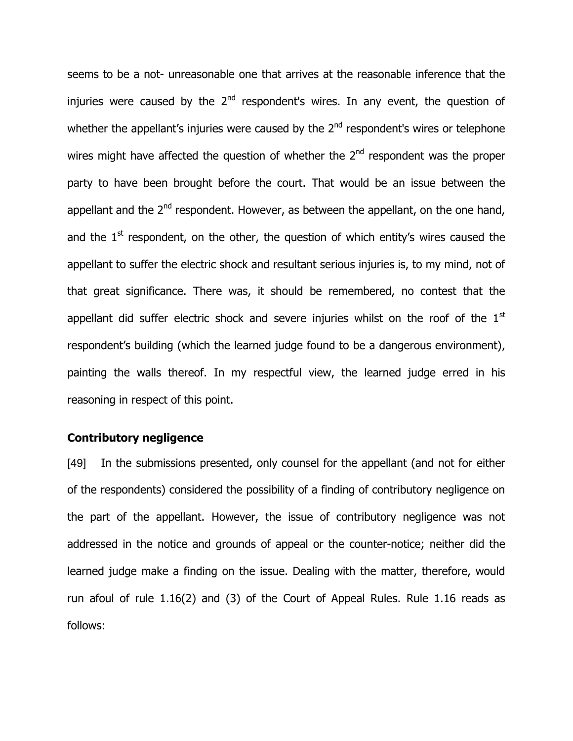seems to be a not- unreasonable one that arrives at the reasonable inference that the injuries were caused by the 2<sup>nd</sup> respondent's wires. In any event, the question of whether the appellant's injuries were caused by the  $2<sup>nd</sup>$  respondent's wires or telephone wires might have affected the question of whether the 2<sup>nd</sup> respondent was the proper party to have been brought before the court. That would be an issue between the appellant and the  $2<sup>nd</sup>$  respondent. However, as between the appellant, on the one hand, and the  $1<sup>st</sup>$  respondent, on the other, the question of which entity's wires caused the appellant to suffer the electric shock and resultant serious injuries is, to my mind, not of that great significance. There was, it should be remembered, no contest that the appellant did suffer electric shock and severe injuries whilst on the roof of the  $1<sup>st</sup>$ respondent's building (which the learned judge found to be a dangerous environment), painting the walls thereof. In my respectful view, the learned judge erred in his reasoning in respect of this point.

## **Contributory negligence**

[49] In the submissions presented, only counsel for the appellant (and not for either of the respondents) considered the possibility of a finding of contributory negligence on the part of the appellant. However, the issue of contributory negligence was not addressed in the notice and grounds of appeal or the counter-notice; neither did the learned judge make a finding on the issue. Dealing with the matter, therefore, would run afoul of rule 1.16(2) and (3) of the Court of Appeal Rules. Rule 1.16 reads as follows: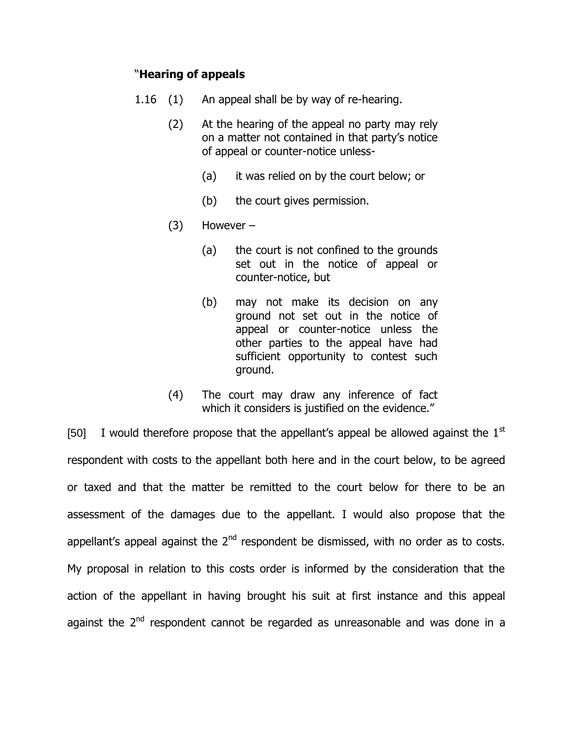## "**Hearing of appeals**

- 1.16 (1) An appeal shall be by way of re-hearing.
	- (2) At the hearing of the appeal no party may rely on a matter not contained in that party"s notice of appeal or counter-notice unless-
		- (a) it was relied on by the court below; or
		- (b) the court gives permission.
	- (3) However
		- (a) the court is not confined to the grounds set out in the notice of appeal or counter-notice, but
		- (b) may not make its decision on any ground not set out in the notice of appeal or counter-notice unless the other parties to the appeal have had sufficient opportunity to contest such ground.
	- (4) The court may draw any inference of fact which it considers is justified on the evidence."

[50] I would therefore propose that the appellant's appeal be allowed against the  $1<sup>st</sup>$ respondent with costs to the appellant both here and in the court below, to be agreed or taxed and that the matter be remitted to the court below for there to be an assessment of the damages due to the appellant. I would also propose that the appellant's appeal against the  $2<sup>nd</sup>$  respondent be dismissed, with no order as to costs. My proposal in relation to this costs order is informed by the consideration that the action of the appellant in having brought his suit at first instance and this appeal against the 2<sup>nd</sup> respondent cannot be regarded as unreasonable and was done in a